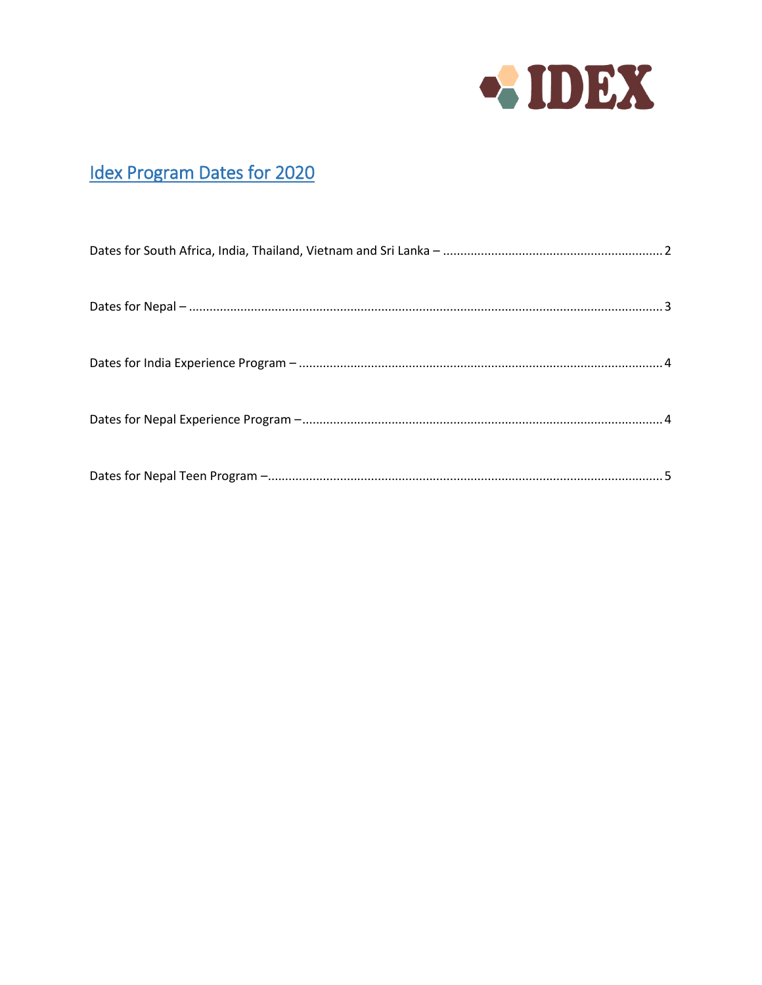

## **Idex Program Dates for 2020**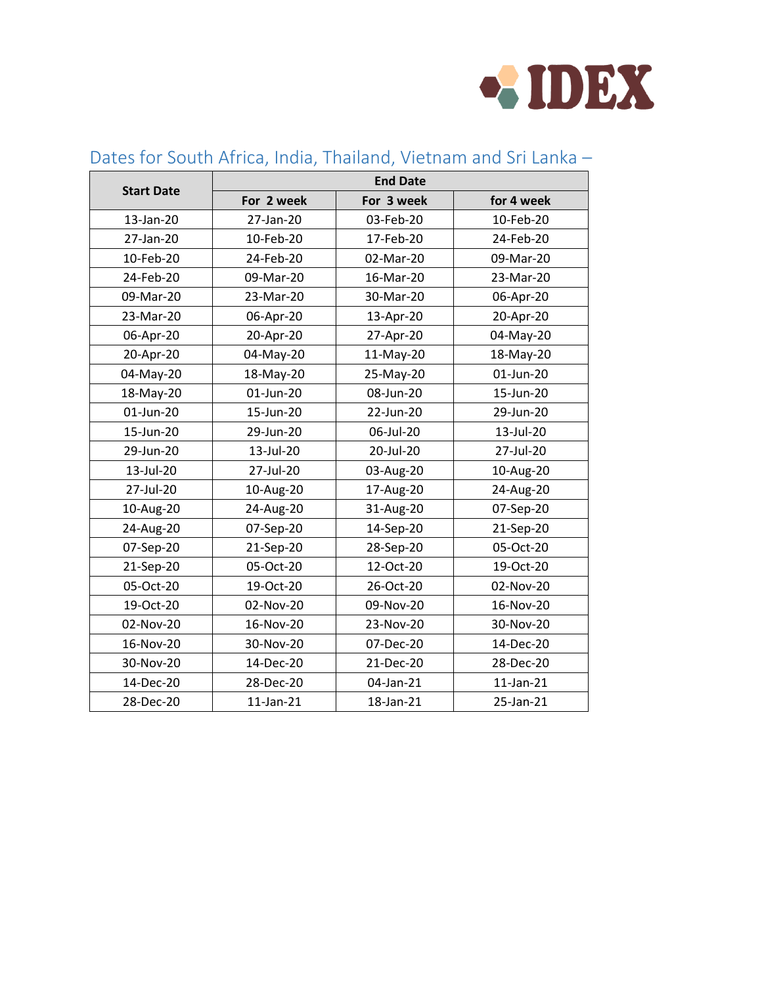

|                   | <b>End Date</b> |            |                 |  |
|-------------------|-----------------|------------|-----------------|--|
| <b>Start Date</b> | For 2 week      | For 3 week | for 4 week      |  |
| 13-Jan-20         | 27-Jan-20       | 03-Feb-20  | 10-Feb-20       |  |
| 27-Jan-20         | 10-Feb-20       | 17-Feb-20  | 24-Feb-20       |  |
| 10-Feb-20         | 24-Feb-20       | 02-Mar-20  | 09-Mar-20       |  |
| 24-Feb-20         | 09-Mar-20       | 16-Mar-20  | 23-Mar-20       |  |
| 09-Mar-20         | 23-Mar-20       | 30-Mar-20  | 06-Apr-20       |  |
| 23-Mar-20         | 06-Apr-20       | 13-Apr-20  | 20-Apr-20       |  |
| 06-Apr-20         | 20-Apr-20       | 27-Apr-20  | 04-May-20       |  |
| 20-Apr-20         | 04-May-20       | 11-May-20  | 18-May-20       |  |
| 04-May-20         | 18-May-20       | 25-May-20  | 01-Jun-20       |  |
| 18-May-20         | 01-Jun-20       | 08-Jun-20  | 15-Jun-20       |  |
| 01-Jun-20         | 15-Jun-20       | 22-Jun-20  | 29-Jun-20       |  |
| 15-Jun-20         | 29-Jun-20       | 06-Jul-20  | 13-Jul-20       |  |
| 29-Jun-20         | 13-Jul-20       | 20-Jul-20  | 27-Jul-20       |  |
| 13-Jul-20         | 27-Jul-20       | 03-Aug-20  | 10-Aug-20       |  |
| 27-Jul-20         | 10-Aug-20       | 17-Aug-20  | 24-Aug-20       |  |
| 10-Aug-20         | 24-Aug-20       | 31-Aug-20  | 07-Sep-20       |  |
| 24-Aug-20         | 07-Sep-20       | 14-Sep-20  | 21-Sep-20       |  |
| 07-Sep-20         | 21-Sep-20       | 28-Sep-20  | 05-Oct-20       |  |
| 21-Sep-20         | 05-Oct-20       | 12-Oct-20  | 19-Oct-20       |  |
| 05-Oct-20         | 19-Oct-20       | 26-Oct-20  | 02-Nov-20       |  |
| 19-Oct-20         | 02-Nov-20       | 09-Nov-20  | 16-Nov-20       |  |
| 02-Nov-20         | 16-Nov-20       | 23-Nov-20  | 30-Nov-20       |  |
| 16-Nov-20         | 30-Nov-20       | 07-Dec-20  | 14-Dec-20       |  |
| 30-Nov-20         | 14-Dec-20       | 21-Dec-20  | 28-Dec-20       |  |
| 14-Dec-20         | 28-Dec-20       | 04-Jan-21  | $11$ -Jan- $21$ |  |
| 28-Dec-20         | $11$ -Jan- $21$ | 18-Jan-21  | 25-Jan-21       |  |

#### <span id="page-1-0"></span>Dates for South Africa, India, Thailand, Vietnam and Sri Lanka –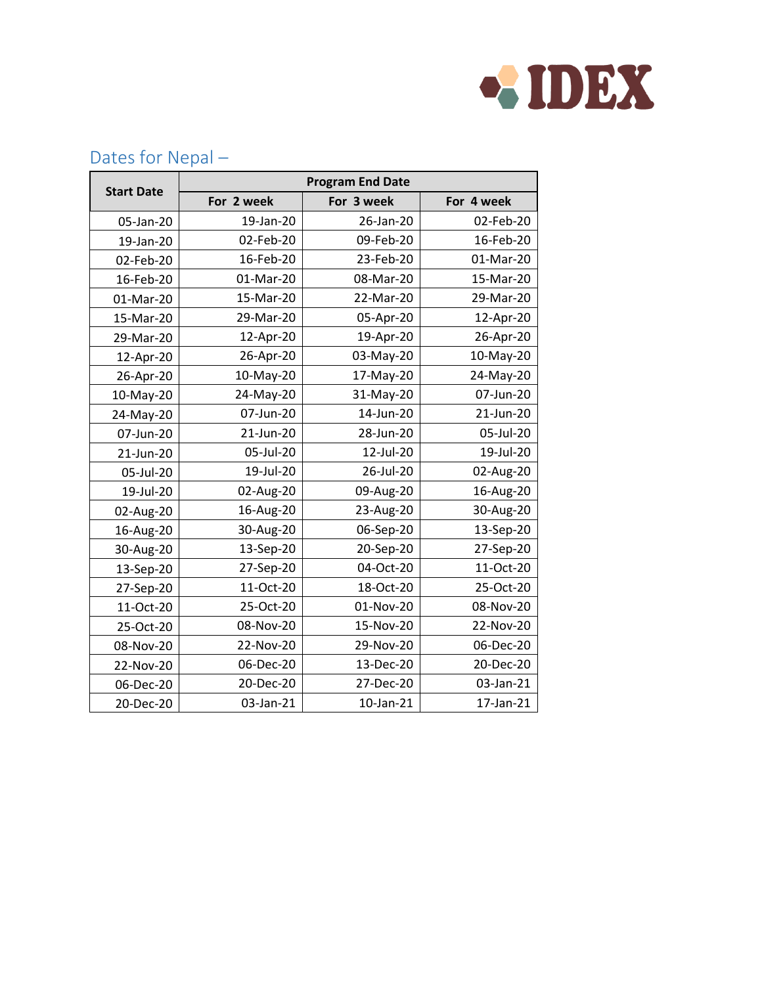

|                   |            | <b>Program End Date</b> |            |
|-------------------|------------|-------------------------|------------|
| <b>Start Date</b> | For 2 week | For 3 week              | For 4 week |
| 05-Jan-20         | 19-Jan-20  | 26-Jan-20               | 02-Feb-20  |
| 19-Jan-20         | 02-Feb-20  | 09-Feb-20               | 16-Feb-20  |
| 02-Feb-20         | 16-Feb-20  | 23-Feb-20               | 01-Mar-20  |
| 16-Feb-20         | 01-Mar-20  | 08-Mar-20               | 15-Mar-20  |
| 01-Mar-20         | 15-Mar-20  | 22-Mar-20               | 29-Mar-20  |
| 15-Mar-20         | 29-Mar-20  | 05-Apr-20               | 12-Apr-20  |
| 29-Mar-20         | 12-Apr-20  | 19-Apr-20               | 26-Apr-20  |
| 12-Apr-20         | 26-Apr-20  | 03-May-20               | 10-May-20  |
| 26-Apr-20         | 10-May-20  | 17-May-20               | 24-May-20  |
| 10-May-20         | 24-May-20  | 31-May-20               | 07-Jun-20  |
| 24-May-20         | 07-Jun-20  | 14-Jun-20               | 21-Jun-20  |
| 07-Jun-20         | 21-Jun-20  | 28-Jun-20               | 05-Jul-20  |
| 21-Jun-20         | 05-Jul-20  | 12-Jul-20               | 19-Jul-20  |
| 05-Jul-20         | 19-Jul-20  | 26-Jul-20               | 02-Aug-20  |
| 19-Jul-20         | 02-Aug-20  | 09-Aug-20               | 16-Aug-20  |
| 02-Aug-20         | 16-Aug-20  | 23-Aug-20               | 30-Aug-20  |
| 16-Aug-20         | 30-Aug-20  | 06-Sep-20               | 13-Sep-20  |
| 30-Aug-20         | 13-Sep-20  | 20-Sep-20               | 27-Sep-20  |
| 13-Sep-20         | 27-Sep-20  | 04-Oct-20               | 11-Oct-20  |
| 27-Sep-20         | 11-Oct-20  | 18-Oct-20               | 25-Oct-20  |
| 11-Oct-20         | 25-Oct-20  | 01-Nov-20               | 08-Nov-20  |
| 25-Oct-20         | 08-Nov-20  | 15-Nov-20               | 22-Nov-20  |
| 08-Nov-20         | 22-Nov-20  | 29-Nov-20               | 06-Dec-20  |
| 22-Nov-20         | 06-Dec-20  | 13-Dec-20               | 20-Dec-20  |
| 06-Dec-20         | 20-Dec-20  | 27-Dec-20               | 03-Jan-21  |
| 20-Dec-20         | 03-Jan-21  | 10-Jan-21               | 17-Jan-21  |

#### <span id="page-2-0"></span>Dates for Nepal –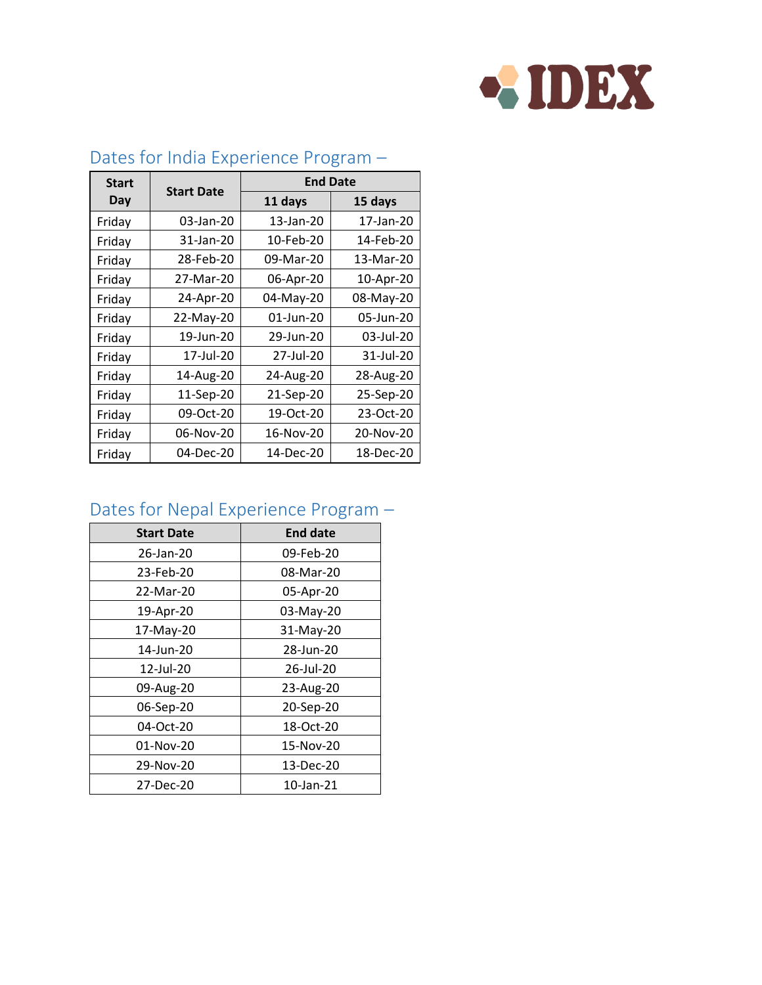

| <b>Start</b> |                   | <b>End Date</b> |           |
|--------------|-------------------|-----------------|-----------|
| Day          | <b>Start Date</b> | 11 days         | 15 days   |
| Friday       | 03-Jan-20         | 13-Jan-20       | 17-Jan-20 |
| Friday       | 31-Jan-20         | 10-Feb-20       | 14-Feb-20 |
| Friday       | 28-Feb-20         | 09-Mar-20       | 13-Mar-20 |
| Friday       | 27-Mar-20         | 06-Apr-20       | 10-Apr-20 |
| Friday       | 24-Apr-20         | 04-May-20       | 08-May-20 |
| Friday       | 22-May-20         | 01-Jun-20       | 05-Jun-20 |
| Friday       | 19-Jun-20         | 29-Jun-20       | 03-Jul-20 |
| Friday       | 17-Jul-20         | 27-Jul-20       | 31-Jul-20 |
| Friday       | 14-Aug-20         | 24-Aug-20       | 28-Aug-20 |
| Friday       | 11-Sep-20         | 21-Sep-20       | 25-Sep-20 |
| Friday       | 09-Oct-20         | 19-Oct-20       | 23-Oct-20 |
| Friday       | 06-Nov-20         | 16-Nov-20       | 20-Nov-20 |
| Friday       | 04-Dec-20         | 14-Dec-20       | 18-Dec-20 |

## <span id="page-3-0"></span>Dates for India Experience Program –

#### <span id="page-3-1"></span>Dates for Nepal Experience Program –

| <b>Start Date</b> | <b>End date</b> |
|-------------------|-----------------|
| 26-Jan-20         | 09-Feb-20       |
| 23-Feb-20         | 08-Mar-20       |
| 22-Mar-20         | 05-Apr-20       |
| 19-Apr-20         | 03-May-20       |
| 17-May-20         | 31-May-20       |
| 14-Jun-20         | 28-Jun-20       |
| 12-Jul-20         | 26-Jul-20       |
| 09-Aug-20         | 23-Aug-20       |
| 06-Sep-20         | 20-Sep-20       |
| 04-Oct-20         | 18-Oct-20       |
| 01-Nov-20         | 15-Nov-20       |
| 29-Nov-20         | 13-Dec-20       |
| 27-Dec-20         | 10-Jan-21       |